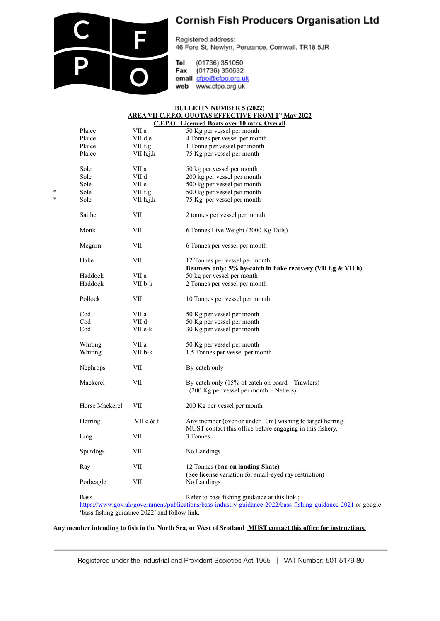

## **Cornish Fish Producers Organisation Ltd**

Registered address: 46 Fore St, Newlyn, Penzance, Cornwall. TR18 5JR

Tel (01736) 351050 Fax (01736) 350632 email cfpo@cfpo.org.uk web www.cfpo.org.uk

## **BULLETIN NUMBER 5 (2022) AREA VII C.F.P.O. QUOTAS EFFECTIVE FROM 1st May 2022 C.F.P.O. Licenced Boats over 10 mtrs. Overall**

|   |                | $\cdots$    | <b>EXERCCO DOALS OVEL 10 MILLS. OVEL AM</b>                                                                           |
|---|----------------|-------------|-----------------------------------------------------------------------------------------------------------------------|
|   | Plaice         | VII a       | 50 Kg per vessel per month                                                                                            |
|   | Plaice         | VII d.e     | 4 Tonnes per vessel per month                                                                                         |
|   | Plaice         | VII f,g     | 1 Tonne per vessel per month                                                                                          |
|   | Plaice         | VII h,j,k   | 75 Kg per vessel per month                                                                                            |
|   | Sole           | VII a       | 50 kg per vessel per month                                                                                            |
|   | Sole           | VII d       | 200 kg per vessel per month                                                                                           |
|   | Sole           | VII e       | 500 kg per vessel per month                                                                                           |
| * | Sole           | VII f,g     | 500 kg per vessel per month                                                                                           |
| ÷ | Sole           | VII h,j,k   | 75 Kg per vessel per month                                                                                            |
|   | Saithe         | VII         | 2 tonnes per vessel per month                                                                                         |
|   | Monk           | VII         | 6 Tonnes Live Weight (2000 Kg Tails)                                                                                  |
|   | Megrim         | VII         | 6 Tonnes per vessel per month                                                                                         |
|   | Hake           | VII         | 12 Tonnes per vessel per month                                                                                        |
|   |                |             | Beamers only: 5% by-catch in hake recovery (VII f,g & VII h)                                                          |
|   | Haddock        | VII a       | 50 kg per vessel per month                                                                                            |
|   | Haddock        | VII b-k     | 2 Tonnes per vessel per month                                                                                         |
|   | Pollock        | VII         | 10 Tonnes per vessel per month                                                                                        |
|   | Cod            | VII a       | 50 Kg per vessel per month                                                                                            |
|   | Cod            | VII d       | 50 Kg per vessel per month                                                                                            |
|   | Cod            | VII e-k     | 30 Kg per vessel per month                                                                                            |
|   | Whiting        | VII a       | 50 Kg per vessel per month                                                                                            |
|   | Whiting        | VII b-k     | 1.5 Tonnes per vessel per month                                                                                       |
|   | Nephrops       | VII         | By-catch only                                                                                                         |
|   | Mackerel       | VII         | By-catch only (15% of catch on board – Trawlers)                                                                      |
|   |                |             | $(200 \text{ Kg per vessel per month} - \text{Neters})$                                                               |
|   | Horse Mackerel | VII         | 200 Kg per vessel per month                                                                                           |
|   | Herring        | VII e $&$ f | Any member (over or under 10m) wishing to target herring<br>MUST contact this office before engaging in this fishery. |
|   | Ling           | VII         | 3 Tonnes                                                                                                              |
|   | Spurdogs       | VII         | No Landings                                                                                                           |
|   | Ray            | VII         | 12 Tonnes (ban on landing Skate)                                                                                      |
|   | Porbeagle      | VII         | (See license variation for small-eyed ray restriction)<br>No Landings                                                 |
|   | <b>Bass</b>    |             | Refer to bass fishing guidance at this link;                                                                          |

<https://www.gov.uk/government/publications/bass-industry-guidance-2022/bass-fishing-guidance-2021> or google 'bass fishing guidance 2022' and follow link.

## **Any member intending to fish in the North Sea, or West of Scotland MUST contact this office for instructions.**